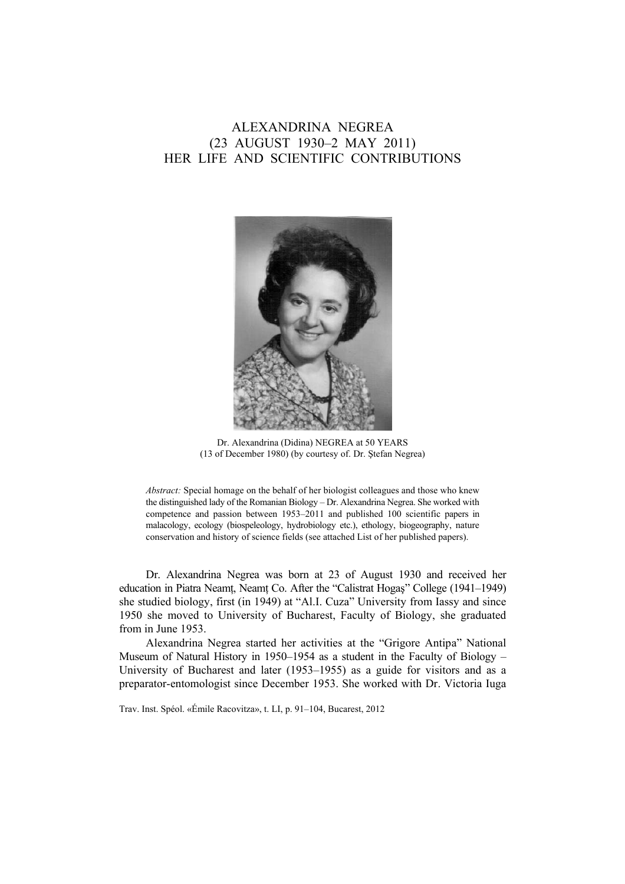# ALEXANDRINA NEGREA (23 AUGUST 1930–2 MAY 2011) HER LIFE AND SCIENTIFIC CONTRIBUTIONS



Dr. Alexandrina (Didina) NEGREA at 50 YEARS (13 of December 1980) (by courtesy of. Dr. Ştefan Negrea)

*Abstract:* Special homage on the behalf of her biologist colleagues and those who knew the distinguished lady of the Romanian Biology – Dr. Alexandrina Negrea. She worked with competence and passion between 1953–2011 and published 100 scientific papers in malacology, ecology (biospeleology, hydrobiology etc.), ethology, biogeography, nature conservation and history of science fields (see attached List of her published papers).

Dr. Alexandrina Negrea was born at 23 of August 1930 and received her education in Piatra Neamţ, Neamţ Co. After the "Calistrat Hogaş" College (1941–1949) she studied biology, first (in 1949) at "Al.I. Cuza" University from Iassy and since 1950 she moved to University of Bucharest, Faculty of Biology, she graduated from in June 1953.

Alexandrina Negrea started her activities at the "Grigore Antipa" National Museum of Natural History in 1950–1954 as a student in the Faculty of Biology – University of Bucharest and later (1953–1955) as a guide for visitors and as a preparator-entomologist since December 1953. She worked with Dr. Victoria Iuga

Trav. Inst. Spéol. «Émile Racovitza», t. LI, p. 91–104, Bucarest, 2012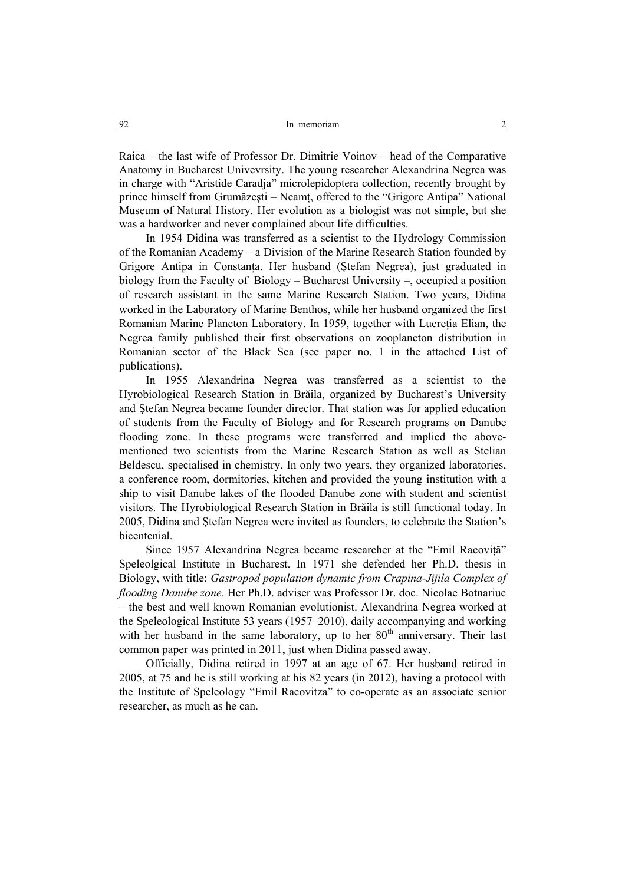Raica – the last wife of Professor Dr. Dimitrie Voinov – head of the Comparative Anatomy in Bucharest Univevrsity. The young researcher Alexandrina Negrea was in charge with "Aristide Caradja" microlepidoptera collection, recently brought by prince himself from Grumăzeşti – Neamţ, offered to the "Grigore Antipa" National Museum of Natural History. Her evolution as a biologist was not simple, but she was a hardworker and never complained about life difficulties.

In 1954 Didina was transferred as a scientist to the Hydrology Commission of the Romanian Academy – a Division of the Marine Research Station founded by Grigore Antipa in Constanţa. Her husband (Ştefan Negrea), just graduated in biology from the Faculty of Biology – Bucharest University –, occupied a position of research assistant in the same Marine Research Station. Two years, Didina worked in the Laboratory of Marine Benthos, while her husband organized the first Romanian Marine Plancton Laboratory. In 1959, together with Lucreția Elian, the Negrea family published their first observations on zooplancton distribution in Romanian sector of the Black Sea (see paper no. 1 in the attached List of publications).

In 1955 Alexandrina Negrea was transferred as a scientist to the Hyrobiological Research Station in Brăila, organized by Bucharest's University and Ştefan Negrea became founder director. That station was for applied education of students from the Faculty of Biology and for Research programs on Danube flooding zone. In these programs were transferred and implied the abovementioned two scientists from the Marine Research Station as well as Stelian Beldescu, specialised in chemistry. In only two years, they organized laboratories, a conference room, dormitories, kitchen and provided the young institution with a ship to visit Danube lakes of the flooded Danube zone with student and scientist visitors. The Hyrobiological Research Station in Brăila is still functional today. In 2005, Didina and Ştefan Negrea were invited as founders, to celebrate the Station's bicentenial.

Since 1957 Alexandrina Negrea became researcher at the "Emil Racoviţă" Speleolgical Institute in Bucharest. In 1971 she defended her Ph.D. thesis in Biology, with title: *Gastropod population dynamic from Crapina-Jijila Complex of flooding Danube zone*. Her Ph.D. adviser was Professor Dr. doc. Nicolae Botnariuc – the best and well known Romanian evolutionist. Alexandrina Negrea worked at the Speleological Institute 53 years (1957–2010), daily accompanying and working with her husband in the same laboratory, up to her 80<sup>th</sup> anniversary. Their last common paper was printed in 2011, just when Didina passed away.

Officially, Didina retired in 1997 at an age of 67. Her husband retired in 2005, at 75 and he is still working at his 82 years (in 2012), having a protocol with the Institute of Speleology "Emil Racovitza" to co-operate as an associate senior researcher, as much as he can.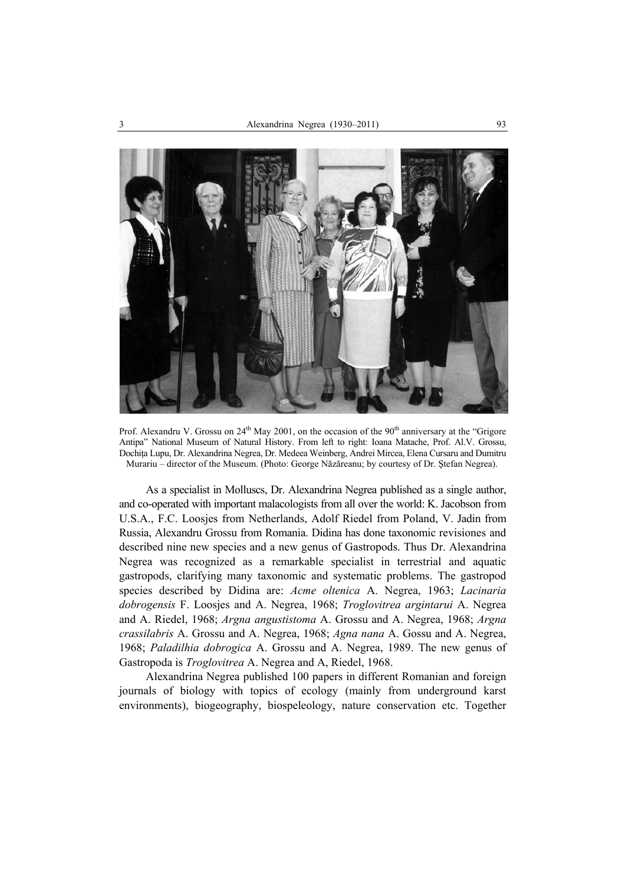

Prof. Alexandru V. Grossu on  $24<sup>th</sup>$  May 2001, on the occasion of the 90<sup>th</sup> anniversary at the "Grigore" Antipa" National Museum of Natural History. From left to right: Ioana Matache, Prof. Al.V. Grossu, Dochiţa Lupu, Dr. Alexandrina Negrea, Dr. Medeea Weinberg, Andrei Mircea, Elena Cursaru and Dumitru Murariu – director of the Museum. (Photo: George Năzăreanu; by courtesy of Dr. Ştefan Negrea).

As a specialist in Molluscs, Dr. Alexandrina Negrea published as a single author, and co-operated with important malacologists from all over the world: K. Jacobson from U.S.A., F.C. Loosjes from Netherlands, Adolf Riedel from Poland, V. Jadin from Russia, Alexandru Grossu from Romania. Didina has done taxonomic revisiones and described nine new species and a new genus of Gastropods. Thus Dr. Alexandrina Negrea was recognized as a remarkable specialist in terrestrial and aquatic gastropods, clarifying many taxonomic and systematic problems. The gastropod species described by Didina are: *Acme oltenica* A. Negrea, 1963; *Lacinaria dobrogensis* F. Loosjes and A. Negrea, 1968; *Troglovitrea argintarui* A. Negrea and A. Riedel, 1968; *Argna angustistoma* A. Grossu and A. Negrea, 1968; *Argna crassilabris* A. Grossu and A. Negrea, 1968; *Agna nana* A. Gossu and A. Negrea, 1968; *Paladilhia dobrogica* A. Grossu and A. Negrea, 1989. The new genus of Gastropoda is *Troglovitrea* A. Negrea and A, Riedel, 1968.

Alexandrina Negrea published 100 papers in different Romanian and foreign journals of biology with topics of ecology (mainly from underground karst environments), biogeography, biospeleology, nature conservation etc. Together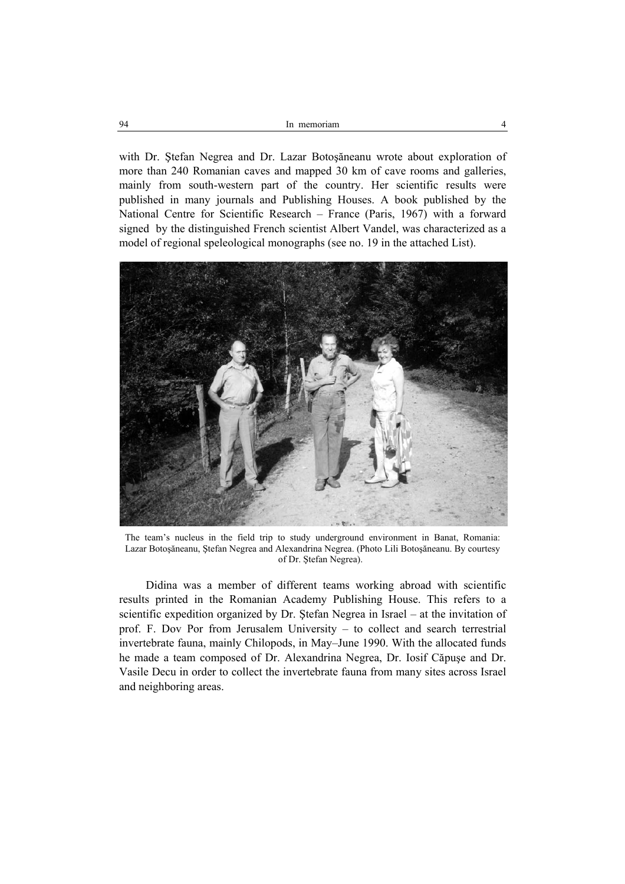| 94 | memoriam<br>1n |  |
|----|----------------|--|
|    |                |  |

with Dr. Ştefan Negrea and Dr. Lazar Botoşăneanu wrote about exploration of more than 240 Romanian caves and mapped 30 km of cave rooms and galleries, mainly from south-western part of the country. Her scientific results were published in many journals and Publishing Houses. A book published by the National Centre for Scientific Research – France (Paris, 1967) with a forward signed by the distinguished French scientist Albert Vandel, was characterized as a model of regional speleological monographs (see no. 19 in the attached List).



The team's nucleus in the field trip to study underground environment in Banat, Romania: Lazar Botoşăneanu, Ştefan Negrea and Alexandrina Negrea. (Photo Lili Botoşăneanu. By courtesy of Dr. Ştefan Negrea).

Didina was a member of different teams working abroad with scientific results printed in the Romanian Academy Publishing House. This refers to a scientific expedition organized by Dr. Ştefan Negrea in Israel – at the invitation of prof. F. Dov Por from Jerusalem University – to collect and search terrestrial invertebrate fauna, mainly Chilopods, in May–June 1990. With the allocated funds he made a team composed of Dr. Alexandrina Negrea, Dr. Iosif Căpuşe and Dr. Vasile Decu in order to collect the invertebrate fauna from many sites across Israel and neighboring areas.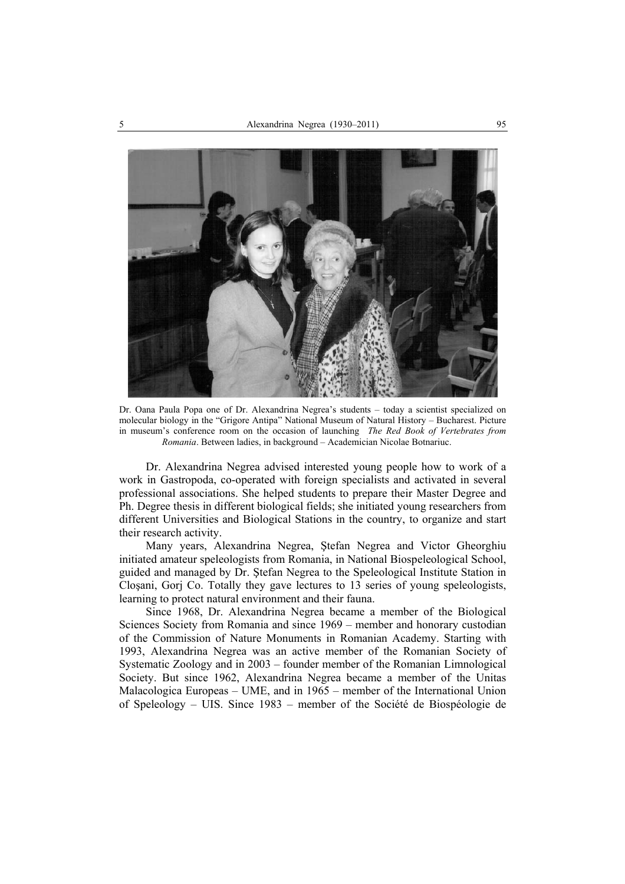

Dr. Oana Paula Popa one of Dr. Alexandrina Negrea's students – today a scientist specialized on molecular biology in the "Grigore Antipa" National Museum of Natural History – Bucharest. Picture in museum's conference room on the occasion of launching *The Red Book of Vertebrates from Romania*. Between ladies, in background – Academician Nicolae Botnariuc.

Dr. Alexandrina Negrea advised interested young people how to work of a work in Gastropoda, co-operated with foreign specialists and activated in several professional associations. She helped students to prepare their Master Degree and Ph. Degree thesis in different biological fields; she initiated young researchers from different Universities and Biological Stations in the country, to organize and start their research activity.

Many years, Alexandrina Negrea, Ştefan Negrea and Victor Gheorghiu initiated amateur speleologists from Romania, in National Biospeleological School, guided and managed by Dr. Ştefan Negrea to the Speleological Institute Station in Cloşani, Gorj Co. Totally they gave lectures to 13 series of young speleologists, learning to protect natural environment and their fauna.

Since 1968, Dr. Alexandrina Negrea became a member of the Biological Sciences Society from Romania and since 1969 – member and honorary custodian of the Commission of Nature Monuments in Romanian Academy. Starting with 1993, Alexandrina Negrea was an active member of the Romanian Society of Systematic Zoology and in 2003 – founder member of the Romanian Limnological Society. But since 1962, Alexandrina Negrea became a member of the Unitas Malacologica Europeas – UME, and in 1965 – member of the International Union of Speleology – UIS. Since 1983 – member of the Société de Biospéologie de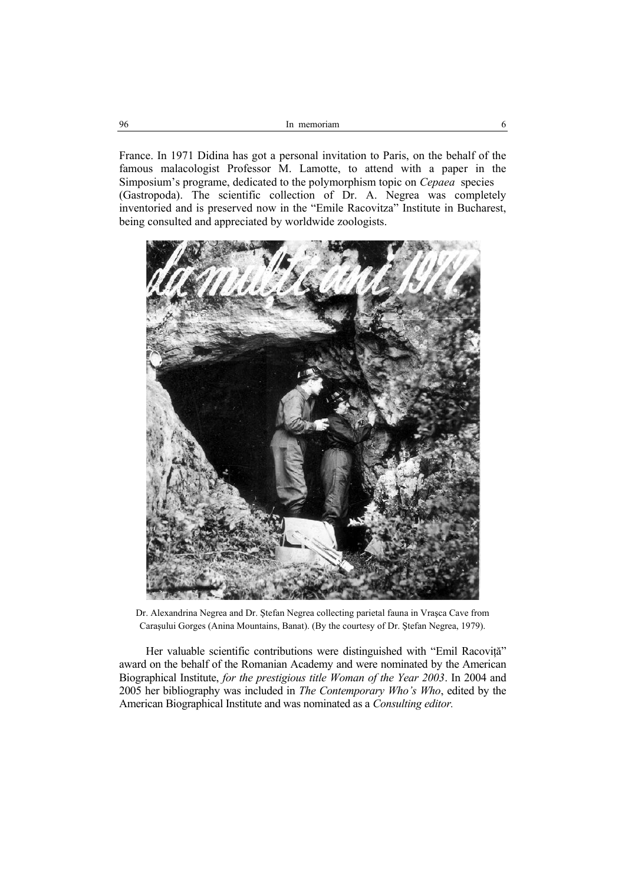France. In 1971 Didina has got a personal invitation to Paris, on the behalf of the famous malacologist Professor M. Lamotte, to attend with a paper in the Simposium's programe, dedicated to the polymorphism topic on *Cepaea* species (Gastropoda). The scientific collection of Dr. A. Negrea was completely inventoried and is preserved now in the "Emile Racovitza" Institute in Bucharest, being consulted and appreciated by worldwide zoologists.



Dr. Alexandrina Negrea and Dr. Ştefan Negrea collecting parietal fauna in Vraşca Cave from Caraşului Gorges (Anina Mountains, Banat). (By the courtesy of Dr. Ştefan Negrea, 1979).

Her valuable scientific contributions were distinguished with "Emil Racovită" award on the behalf of the Romanian Academy and were nominated by the American Biographical Institute, *for the prestigious title Woman of the Year 2003*. In 2004 and 2005 her bibliography was included in *The Contemporary Who's Who*, edited by the American Biographical Institute and was nominated as a *Consulting editor.*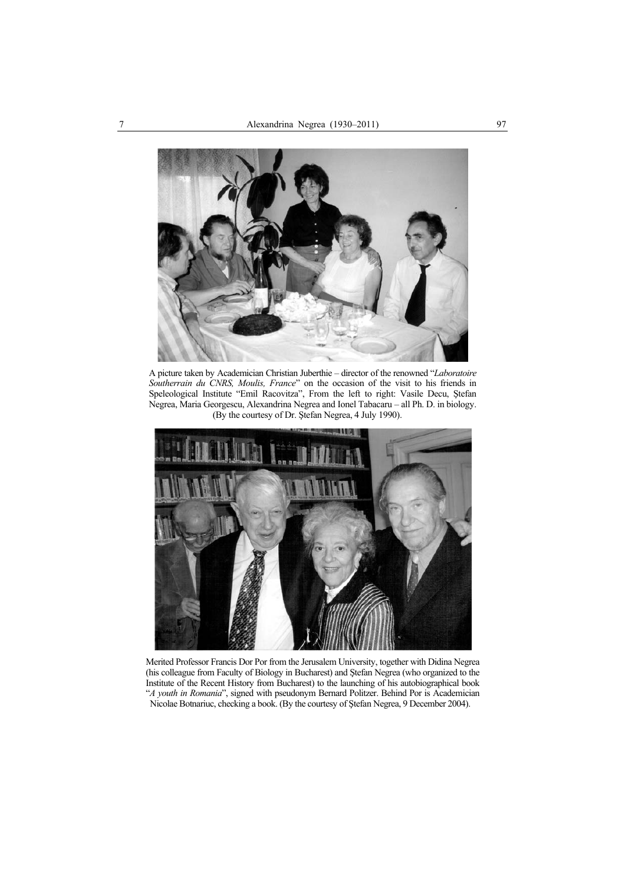

A picture taken by Academician Christian Juberthie – director of the renowned "*Laboratoire Southerrain du CNRS, Moulis, France*" on the occasion of the visit to his friends in Speleological Institute "Emil Racovitza", From the left to right: Vasile Decu, Ştefan Negrea, Maria Georgescu, Alexandrina Negrea and Ionel Tabacaru – all Ph. D. in biology. (By the courtesy of Dr. Ştefan Negrea, 4 July 1990).



Merited Professor Francis Dor Por from the Jerusalem University, together with Didina Negrea (his colleague from Faculty of Biology in Bucharest) and Ştefan Negrea (who organized to the Institute of the Recent History from Bucharest) to the launching of his autobiographical book "*A youth in Romania*", signed with pseudonym Bernard Politzer. Behind Por is Academician Nicolae Botnariuc, checking a book. (By the courtesy of Ştefan Negrea, 9 December 2004).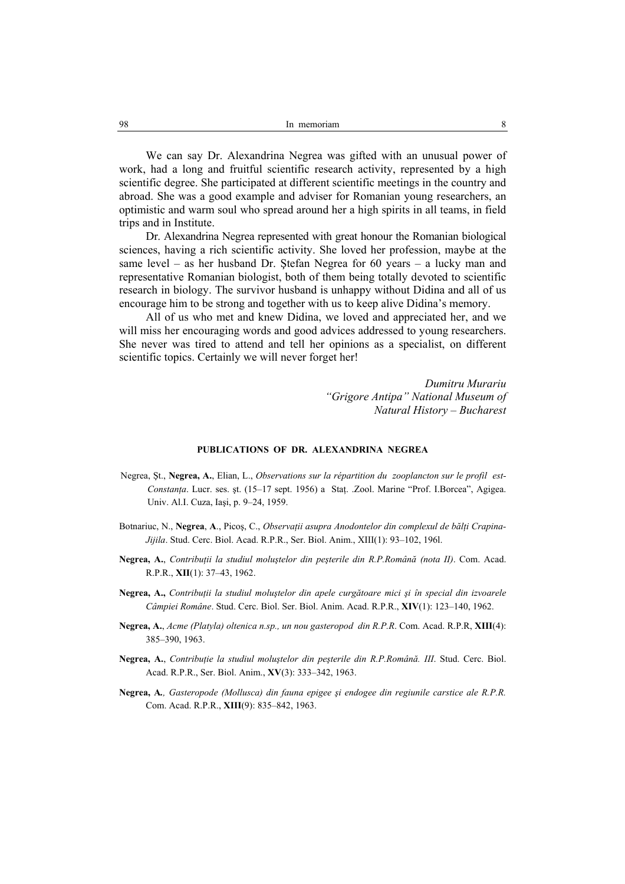We can say Dr. Alexandrina Negrea was gifted with an unusual power of work, had a long and fruitful scientific research activity, represented by a high scientific degree. She participated at different scientific meetings in the country and abroad. She was a good example and adviser for Romanian young researchers, an optimistic and warm soul who spread around her a high spirits in all teams, in field trips and in Institute.

Dr. Alexandrina Negrea represented with great honour the Romanian biological sciences, having a rich scientific activity. She loved her profession, maybe at the same level – as her husband Dr. Ştefan Negrea for 60 years – a lucky man and representative Romanian biologist, both of them being totally devoted to scientific research in biology. The survivor husband is unhappy without Didina and all of us encourage him to be strong and together with us to keep alive Didina's memory.

All of us who met and knew Didina, we loved and appreciated her, and we will miss her encouraging words and good advices addressed to young researchers. She never was tired to attend and tell her opinions as a specialist, on different scientific topics. Certainly we will never forget her!

> *Dumitru Murariu "Grigore Antipa" National Museum of Natural History – Bucharest*

### **PUBLICATIONS OF DR. ALEXANDRINA NEGREA**

- Negrea, Şt., **Negrea, A.**, Elian, L., *Observations sur la répartition du zooplancton sur le profil est-Constanţa*. Lucr. ses. şt. (15–17 sept. 1956) a Staţ. .Zool. Marine "Prof. I.Borcea", Agigea. Univ. Al.I. Cuza, Iaşi, p. 9–24, 1959.
- Botnariuc, N., **Negrea**, **A**., Picoş, C., *Observaţii asupra Anodontelor din complexul de bălţi Crapina-Jijila*. Stud. Cerc. Biol. Acad. R.P.R., Ser. Biol. Anim., XIII(1): 93–102, 196l.
- **Negrea, A.**, *Contribuţii la studiul moluştelor din peşterile din R.P.Română (nota II)*. Com. Acad. R.P.R., **XII**(1): 37–43, 1962.
- **Negrea, A.,** *Contribuţii la studiul moluştelor din apele curgătoare mici şi în special din izvoarele Câmpiei Române*. Stud. Cerc. Biol. Ser. Biol. Anim. Acad. R.P.R., **XIV**(1): 123–140, 1962.
- **Negrea, A.**, *Acme (Platyla) oltenica n.sp., un nou gasteropod din R.P.R*. Com. Acad. R.P.R, **XIII**(4): 385–390, 1963.
- **Negrea, A.**, *Contribuţie la studiul moluştelor din peşterile din R.P.Română. III*. Stud. Cerc. Biol. Acad. R.P.R., Ser. Biol. Anim., **XV**(3): 333–342, 1963.
- **Negrea, A***., Gasteropode (Mollusca) din fauna epigee şi endogee din regiunile carstice ale R.P.R.* Com. Acad. R.P.R., **XIII**(9): 835–842, 1963.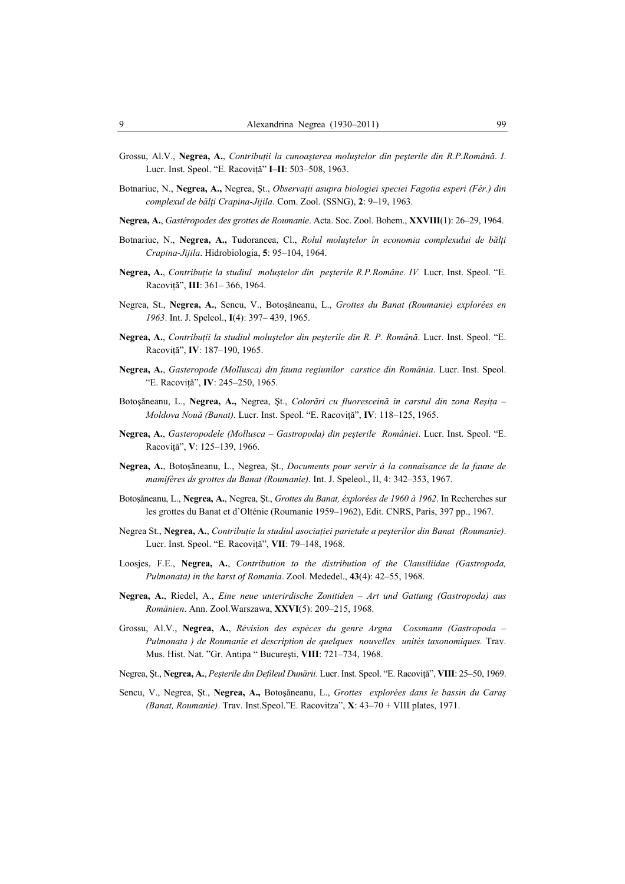- Grossu, Al.V., **Negrea, A.**, *Contribuţii la cunoaşterea moluştelor din peşterile din R.P.Română*. *I*. Lucr. Inst. Speol. "E. Racoviţă" **I–II**: 503–508, 1963.
- Botnariuc, N., **Negrea, A.,** Negrea, Şt., *Observaţii asupra biologiei speciei Fagotia esperi (Fér.) din complexul de bălţi Crapina-Jijila*. Com. Zool. (SSNG), **2**: 9–19, 1963.
- **Negrea, A.**, *Gastéropodes des grottes de Roumanie*. Acta. Soc. Zool. Bohem., **XXVIII**(1): 26–29, 1964.
- Botnariuc, N., **Negrea, A.,** Tudorancea, Cl., *Rolul moluştelor în economia complexului de bălţi Crapina-Jijila*. Hidrobiologia, **5**: 95–104, 1964.
- **Negrea, A.**, *Contribuţie la studiul moluştelor din peşterile R.P.Române. IV.* Lucr. Inst. Speol. "E. Racoviţă", **III**: 361– 366, 1964.
- Negrea, St., **Negrea, A.**, Sencu, V., Botoşăneanu, L., *Grottes du Banat (Roumanie) explorées en 1963*. Int. J. Speleol., **I**(4): 397– 439, 1965.
- **Negrea, A.**, *Contribuţii la studiul moluştelor din peşterile din R. P. Română*. Lucr. Inst. Speol. "E. Racoviţă", **IV**: 187–190, 1965.
- **Negrea, A.**, *Gasteropode (Mollusca) din fauna regiunilor carstice din România*. Lucr. Inst. Speol. "E. Racoviţă", **IV**: 245–250, 1965.
- Botoşăneanu, L., **Negrea, A.,** Negrea, Şt., *Colorări cu fluoresceină în carstul din zona Reşiţa Moldova Nouă (Banat).* Lucr. Inst. Speol. "E. Racoviţă", **IV**: 118–125, 1965.
- **Negrea, A.**, *Gasteropodele (Mollusca Gastropoda) din peşterile României*. Lucr. Inst. Speol. "E. Racoviţă", **V**: 125–139, 1966.
- **Negrea, A.**, Botoşăneanu, L., Negrea, Şt., *Documents pour servir à la connaisance de la faune de mamifères ds grottes du Banat (Roumanie)*. Int. J. Speleol., II, 4: 342–353, 1967.
- Botoşăneanu, L., **Negrea, A.**, Negrea, Şt., *Grottes du Banat, éxplorées de 1960 à 1962*. In Recherches sur les grottes du Banat et d'Olténie (Roumanie 1959–1962), Edit. CNRS, Paris, 397 pp., 1967.
- Negrea St., **Negrea, A.**, *Contribuţie la studiul asociaţiei parietale a peşterilor din Banat (Roumanie)*. Lucr. Inst. Speol. "E. Racoviţă", **VII**: 79–148, 1968.
- Loosjes, F.E., **Negrea, A.**, *Contribution to the distribution of the Clausiliidae (Gastropoda, Pulmonata) in the karst of Romania*. Zool. Mededel., **43**(4): 42–55, 1968.
- **Negrea, A.**, Riedel, A., *Eine neue unterirdische Zonitiden Art und Gattung (Gastropoda) aus Romänien*. Ann. Zool.Warszawa, **XXVI**(5): 209–215, 1968.
- Grossu, Al.V., **Negrea, A.**, *Révision des espèces du genre Argna Cossmann (Gastropoda Pulmonata ) de Roumanie et description de quelques nouvelles unités taxonomiques.* Trav. Mus. Hist. Nat. "Gr. Antipa " Bucureşti, **VIII**: 721–734, 1968.
- Negrea, Şt., **Negrea, A.**, *Peşterile din Defileul Dunării*. Lucr. Inst. Speol. "E. Racoviţă", **VIII**: 25–50, 1969.
- Sencu, V., Negrea, Şt., **Negrea, A.,** Botoşăneanu, L., *Grottes explorées dans le bassin du Caraş (Banat, Roumanie)*. Trav. Inst.Speol."E. Racovitza", **X**: 43–70 + VIII plates, 1971.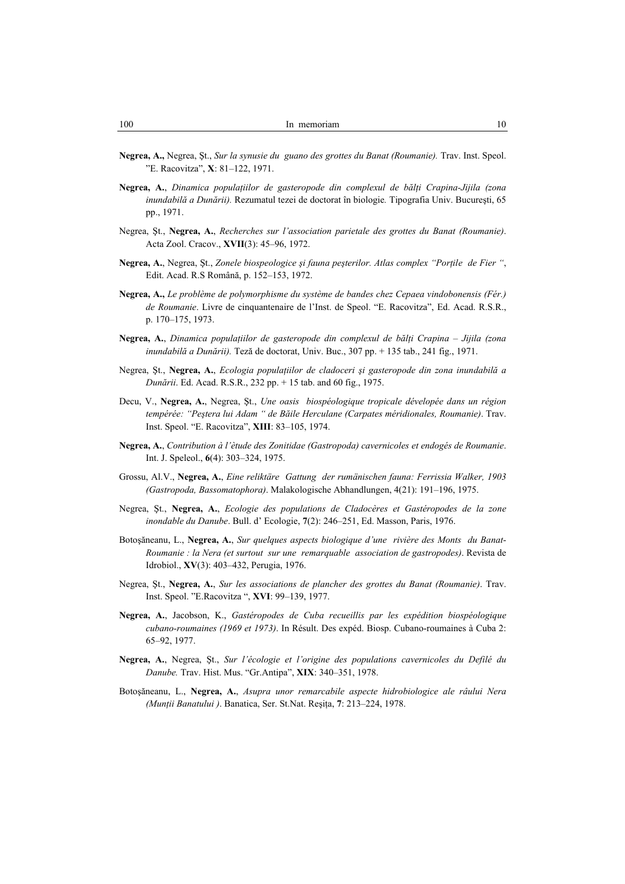- **Negrea, A.,** Negrea, Şt., *Sur la synusie du guano des grottes du Banat (Roumanie).* Trav. Inst. Speol. "E. Racovitza", **X**: 81–122, 1971.
- **Negrea, A.**, *Dinamica populaţiilor de gasteropode din complexul de bălţi Crapina-Jijila (zona inundabilă a Dunării).* Rezumatul tezei de doctorat în biologie*.* Tipografia Univ. Bucureşti, 65 pp., 1971.
- Negrea, Şt., **Negrea, A.**, *Recherches sur l'association parietale des grottes du Banat (Roumanie)*. Acta Zool. Cracov., **XVII**(3): 45–96, 1972.
- **Negrea, A.**, Negrea, Şt., *Zonele biospeologice şi fauna peşterilor. Atlas complex "Porţile de Fier "*, Edit. Acad. R.S Română, p. 152–153, 1972.
- **Negrea, A.,** *Le problème de polymorphisme du système de bandes chez Cepaea vindobonensis (Fér.) de Roumanie*. Livre de cinquantenaire de l'Inst. de Speol. "E. Racovitza", Ed. Acad. R.S.R., p. 170–175, 1973.
- **Negrea, A.**, *Dinamica populaţiilor de gasteropode din complexul de bălţi Crapina Jijila (zona inundabilă a Dunării).* Teză de doctorat, Univ. Buc., 307 pp. + 135 tab., 241 fig., 1971.
- Negrea, Şt., **Negrea, A.**, *Ecologia populaţiilor de cladoceri şi gasteropode din zona inundabilă a Dunării*. Ed. Acad. R.S.R., 232 pp. + 15 tab. and 60 fig., 1975.
- Decu, V., **Negrea, A.**, Negrea, Şt., *Une oasis biospéologique tropicale dévelopée dans un région tempérée: "Peştera lui Adam " de Băile Herculane (Carpates méridionales, Roumanie)*. Trav. Inst. Speol. "E. Racovitza", **XIII**: 83–105, 1974.
- **Negrea, A.**, *Contribution à l'ètude des Zonitidae (Gastropoda) cavernicoles et endogés de Roumanie*. Int. J. Speleol., **6**(4): 303–324, 1975.
- Grossu, Al.V., **Negrea, A.**, *Eine reliktäre Gattung der rumänischen fauna: Ferrissia Walker, 1903 (Gastropoda, Bassomatophora)*. Malakologische Abhandlungen, 4(21): 191–196, 1975.
- Negrea, Şt., **Negrea, A.**, *Ecologie des populations de Cladocères et Gastéropodes de la zone inondable du Danube*. Bull. d' Ecologie, **7**(2): 246–251, Ed. Masson, Paris, 1976.
- Botoşăneanu, L., **Negrea, A.**, *Sur quelques aspects biologique d'une rivière des Monts du Banat-Roumanie : la Nera (et surtout sur une remarquable association de gastropodes)*. Revista de Idrobiol., **XV**(3): 403–432, Perugia, 1976.
- Negrea, Şt., **Negrea, A.**, *Sur les associations de plancher des grottes du Banat (Roumanie)*. Trav. Inst. Speol. "E.Racovitza ", **XVI**: 99–139, 1977.
- **Negrea, A.**, Jacobson, K., *Gastéropodes de Cuba recueillis par les expédition biospéologique cubano-roumaines (1969 et 1973)*. In Résult. Des expéd. Biosp. Cubano-roumaines à Cuba 2: 65–92, 1977.
- **Negrea, A.**, Negrea, Şt., *Sur l'écologie et l'origine des populations cavernicoles du Defilé du Danube.* Trav. Hist. Mus. "Gr.Antipa", **XIX**: 340–351, 1978.
- Botoşăneanu, L., **Negrea, A.**, *Asupra unor remarcabile aspecte hidrobiologice ale râului Nera (Munţii Banatului )*. Banatica, Ser. St.Nat. Reşiţa, **7**: 213–224, 1978.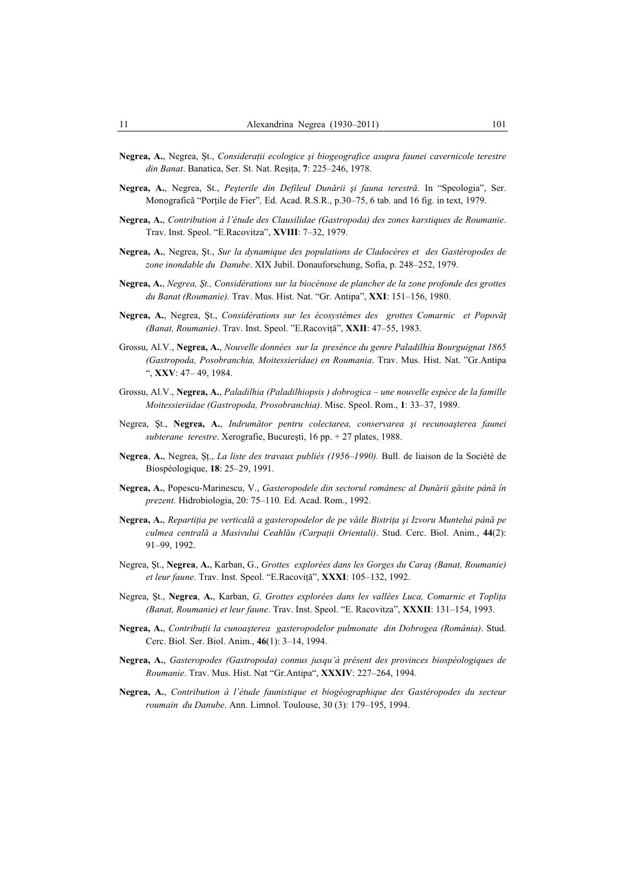- **Negrea, A.**, Negrea, Şt., *Consideraţii ecologice şi biogeografice asupra faunei cavernicole terestre din Banat*. Banatica, Ser. St. Nat. Reşiţa, **7**: 225–246, 1978.
- **Negrea, A.**, Negrea, St., *Peşterile din Defileul Dunării şi fauna terestră.* In "Speologia", Ser. Monografică "Porţile de Fier"*,* Ed. Acad. R.S.R., p.30–75, 6 tab. and 16 fig. in text, 1979.
- **Negrea, A.**, *Contribution à l'étude des Clausilidae (Gastropoda) des zones karstiques de Roumanie*. Trav. Inst. Speol. "E.Racovitza", **XVIII**: 7–32, 1979.
- **Negrea, A.**, Negrea, Şt., *Sur la dynamique des populations de Cladocères et des Gastéropodes de zone inondable du Danube*. XIX Jubil. Donauforschung, Sofia, p. 248–252, 1979.
- **Negrea, A.**, *Negrea, Şt., Considérations sur la biocénose de plancher de la zone profonde des grottes du Banat (Roumanie).* Trav. Mus. Hist. Nat. "Gr. Antipa", **XXI**: 151–156, 1980.
- **Negrea, A.**, Negrea, Şt., *Considérations sur les écosystèmes des grottes Comarnic et Popovăţ (Banat, Roumanie)*. Trav. Inst. Speol. "E.Racoviţă", **XXII**: 47–55, 1983.
- Grossu, Al.V., **Negrea, A.**, *Nouvelle données sur la presénce du genre Paladilhia Bourguignat 1865 (Gastropoda, Posobranchia, Moitessieridae) en Roumania*. Trav. Mus. Hist. Nat. "Gr.Antipa ", **XXV**: 47– 49, 1984.
- Grossu, Al.V., **Negrea, A.**, *Paladilhia (Paladilhiopsis ) dobrogica une nouvelle espèce de la famille Moitessieriidae (Gastropoda, Prosobranchia)*. Misc. Speol. Rom., **1**: 33–37, 1989.
- Negrea, Şt., **Negrea, A.**, *Indrumător pentru colectarea, conservarea şi recunoaşterea faunei subterane terestre*. Xerografie, Bucureşti, 16 pp. + 27 plates, 1988.
- **Negrea**, **A.**, Negrea, Şţ., *La liste des travaux publiés (1956–1990).* Bull. de liaison de la Société de Biospéologique, **18**: 25–29, 1991.
- **Negrea, A.**, Popescu-Marinescu, V., *Gasteropodele din sectorul românesc al Dunării găsite până în prezent.* Hidrobiologia, 20: 75–110*.* Ed. Acad. Rom., 1992.
- **Negrea, A.**, *Repartiţia pe verticală a gasteropodelor de pe văile Bistriţa şi Izvoru Muntelui până pe culmea centrală a Masivului Ceahlău (Carpaţii Orientali)*. Stud. Cerc. Biol. Anim., **44**(2): 91–99, 1992.
- Negrea, Şt., **Negrea**, **A.**, Karban, G., *Grottes explorées dans les Gorges du Caraş (Banat, Roumanie) et leur faune*. Trav. Inst. Speol. "E.Racoviţă", **XXXI**: 105–132, 1992.
- Negrea, Şt., **Negrea**, **A.**, Karban, *G, Grottes explorées dans les vallées Luca, Comarnic et Topliţa (Banat, Roumanie) et leur faune*. Trav. Inst. Speol. "E. Racovitza", **XXXII**: 131–154, 1993.
- **Negrea, A.**, *Contribuţii la cunoaşterea gasteropodelor pulmonate din Dobrogea (România)*. Stud. Cerc. Biol. Ser. Biol. Anim., **46**(1): 3–14, 1994.
- **Negrea, A.**, *Gasteropodes (Gastropoda) connus jusqu'à présent des provinces biospéologiques de Roumanie*. Trav. Mus. Hist. Nat "Gr.Antipa", **XXXIV**: 227–264, 1994.
- **Negrea, A.**, *Contribution à l'étude faunistique et biogéographique des Gastéropodes du secteur roumain du Danube*. Ann. Limnol. Toulouse, 30 (3): 179–195, 1994.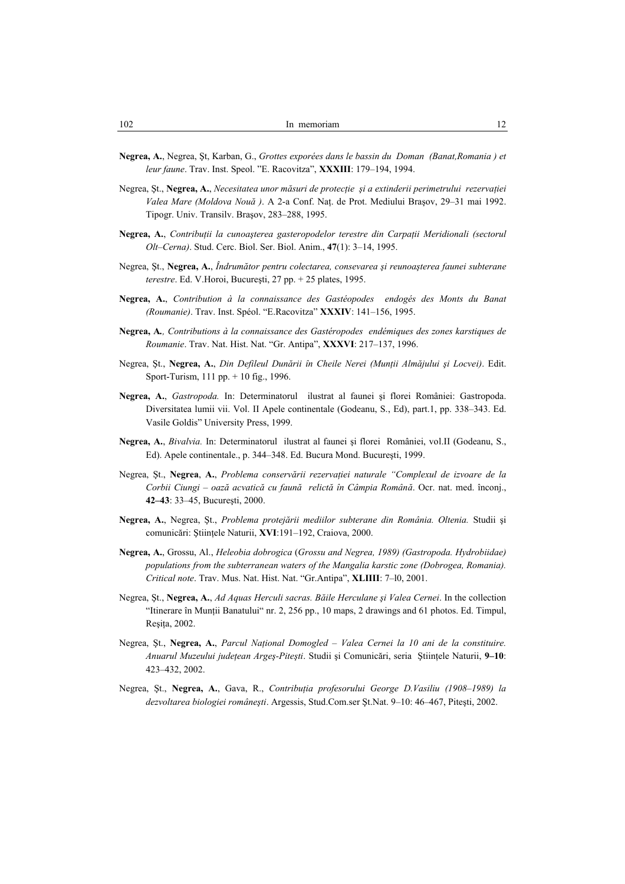- **Negrea, A.**, Negrea, Şt, Karban, G., *Grottes exporées dans le bassin du Doman (Banat,Romania ) et leur faune*. Trav. Inst. Speol. "E. Racovitza", **XXXIII**: 179–194, 1994.
- Negrea, Şt., **Negrea, A.**, *Necesitatea unor măsuri de protecţie şi a extinderii perimetrului rezervaţiei Valea Mare (Moldova Nouă )*. A 2-a Conf. Naţ. de Prot. Mediului Braşov, 29–31 mai 1992. Tipogr. Univ. Transilv. Braşov, 283–288, 1995.
- **Negrea, A.**, *Contribuţii la cunoaşterea gasteropodelor terestre din Carpaţii Meridionali (sectorul Olt–Cerna)*. Stud. Cerc. Biol. Ser. Biol. Anim., **47**(1): 3–14, 1995.
- Negrea, Şt., **Negrea, A.**, *Îndrumător pentru colectarea, consevarea şi reunoaşterea faunei subterane terestre*. Ed. V.Horoi, Bucureşti, 27 pp. + 25 plates, 1995.
- **Negrea, A.**, *Contribution à la connaissance des Gastéopodes endogés des Monts du Banat (Roumanie)*. Trav. Inst. Spéol. "E.Racovitza" **XXXIV**: 141–156, 1995.
- **Negrea, A***., Contributions à la connaissance des Gastéropodes endémiques des zones karstiques de Roumanie*. Trav. Nat. Hist. Nat. "Gr. Antipa", **XXXVI**: 217–137, 1996.
- Negrea, Şt., **Negrea, A.**, *Din Defileul Dunării în Cheile Nerei (Munţii Almăjului şi Locvei)*. Edit. Sport-Turism, 111 pp. + 10 fig., 1996.
- **Negrea, A.**, *Gastropoda.* In: Determinatorul ilustrat al faunei şi florei României: Gastropoda. Diversitatea lumii vii. Vol. II Apele continentale (Godeanu, S., Ed), part.1, pp. 338–343. Ed. Vasile Goldis" University Press, 1999.
- **Negrea, A.**, *Bivalvia.* In: Determinatorul ilustrat al faunei şi florei României, vol.II (Godeanu, S., Ed). Apele continentale., p. 344–348. Ed. Bucura Mond. Bucureşti, 1999.
- Negrea, Şt., **Negrea**, **A.**, *Problema conservării rezervaţiei naturale "Complexul de izvoare de la Corbii Ciungi – oază acvatică cu faună relictă în Câmpia Română*. Ocr. nat. med. înconj., **42–43**: 33–45, Bucureşti, 2000.
- **Negrea, A.**, Negrea, Şt., *Problema protejării mediilor subterane din România. Oltenia.* Studii şi comunicări: Ştiinţele Naturii, **XVI**:191–192, Craiova, 2000.
- **Negrea, A.**, Grossu, Al., *Heleobia dobrogica* (*Grossu and Negrea, 1989) (Gastropoda. Hydrobiidae) populations from the subterranean waters of the Mangalia karstic zone (Dobrogea, Romania). Critical note*. Trav. Mus. Nat. Hist. Nat. "Gr.Antipa", **XLIIII**: 7–l0, 2001.
- Negrea, Şt., **Negrea, A.**, *Ad Aquas Herculi sacras. Băile Herculane şi Valea Cernei*. In the collection "Itinerare în Munţii Banatului" nr. 2, 256 pp., 10 maps, 2 drawings and 61 photos. Ed. Timpul, Reşiţa, 2002.
- Negrea, Şt., **Negrea, A.**, *Parcul Naţional Domogled Valea Cernei la 10 ani de la constituire. Anuarul Muzeului judeţean Argeş-Piteşti*. Studii şi Comunicări, seria Ştiinţele Naturii, **9–10**: 423–432, 2002.
- Negrea, Şt., **Negrea, A.**, Gava, R., *Contribuţia profesorului George D.Vasiliu (1908–1989) la dezvoltarea biologiei româneşti*. Argessis, Stud.Com.ser Şt.Nat. 9–10: 46–467, Piteşti, 2002.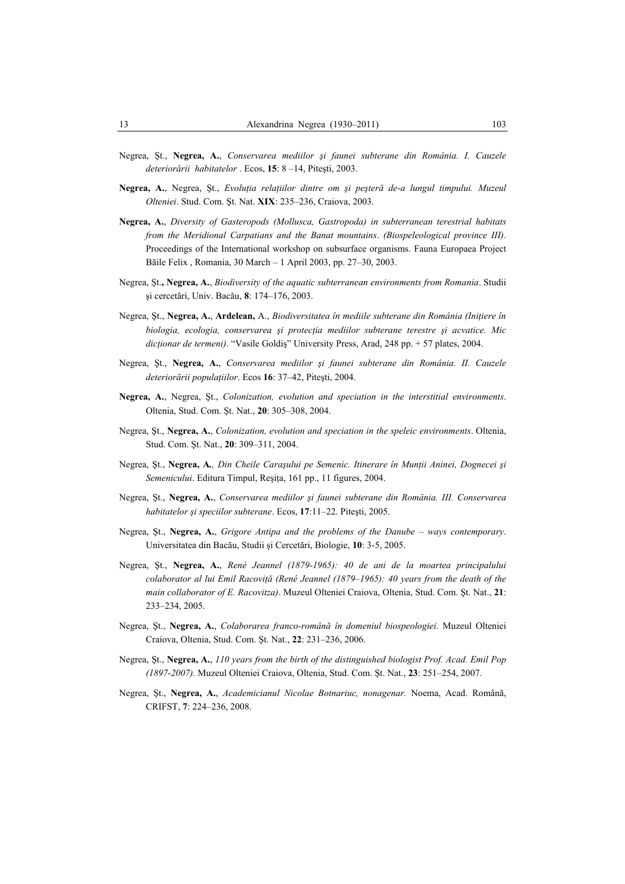- Negrea, Şt., **Negrea, A.**, *Conservarea mediilor şi faunei subterane din România. I. Cauzele deteriorării habitatelor* . Ecos, **15**: 8 –14, Piteşti, 2003.
- **Negrea, A.**, Negrea, Şt., *Evoluţia relaţiilor dintre om şi peşteră de-a lungul timpului. Muzeul Olteniei*. Stud. Com. Şt. Nat. **XIX**: 235–236, Craiova, 2003.
- **Negrea, A.**, *Diversity of Gasteropods (Mollusca, Gastropoda) in subterranean terestrial habitats from the Meridional Carpatians and the Banat mountains*. *(Biospeleological province III)*. Proceedings of the International workshop on subsurface organisms. Fauna Europaea Project Băile Felix , Romania, 30 March – 1 April 2003, pp. 27–30, 2003.
- Negrea, Şt.**, Negrea, A.**, *Biodiversity of the aquatic subterranean environments from Romania*. Studii şi cercetări, Univ. Bacău, **8**: 174–176, 2003.
- Negrea, Şt., **Negrea, A.**, **Ardelean,** A., *Biodiversitatea în mediile subterane din România (Iniţiere în biologia, ecologia, conservarea şi protecţia mediilor subterane terestre şi acvatice. Mic dicţionar de termeni)*. "Vasile Goldiş" University Press, Arad, 248 pp. + 57 plates, 2004.
- Negrea, Şt., **Negrea, A.**, *Conservarea mediilor şi faunei subterane din România. II. Cauzele deteriorării populaţiilor*. Ecos **16**: 37–42, Piteşti, 2004.
- **Negrea, A.**, Negrea, Şt., *Colonization, evolution and speciation in the interstitial environments*. Oltenia, Stud. Com. Şt. Nat., **20**: 305–308, 2004.
- Negrea, Şt., **Negrea, A.**, *Colonization, evolution and speciation in the speleic environments*. Oltenia, Stud. Com. Şt. Nat., **20**: 309–311, 2004.
- Negrea, Şt., Negrea, A., Din Cheile Caraşului pe Semenic. Itinerare în Munții Aninei, Dognecei și *Semenicului*. Editura Timpul, Resita, 161 pp., 11 figures, 2004.
- Negrea, Şt., **Negrea, A.**, *Conservarea mediilor şi faunei subterane din România. III. Conservarea habitatelor şi speciilor subterane*. Ecos, **17**:11–22. Piteşti, 2005.
- Negrea, Şt., **Negrea, A.**, *Grigore Antipa and the problems of the Danube ways contemporary*. Universitatea din Bacău, Studii şi Cercetări, Biologie, **10**: 3-5, 2005.
- Negrea, Şt., **Negrea, A.**, *René Jeannel (1879-1965): 40 de ani de la moartea principalului colaborator al lui Emil Racoviţă (René Jeannel (1879–1965): 40 years from the death of the main collaborator of E. Racovitza)*. Muzeul Olteniei Craiova, Oltenia, Stud. Com. Şt. Nat., **21**: 233–234, 2005.
- Negrea, Şt., **Negrea, A.**, *Colaborarea franco-română în domeniul biospeologiei*. Muzeul Olteniei Craiova, Oltenia, Stud. Com. Şt. Nat., **22**: 231–236, 2006.
- Negrea, Şt., **Negrea, A.**, *110 years from the birth of the distinguished biologist Prof. Acad. Emil Pop (1897-2007).* Muzeul Olteniei Craiova, Oltenia, Stud. Com. Şt. Nat., **23**: 251–254, 2007.
- Negrea, Şt., **Negrea, A.**, *Academicianul Nicolae Botnariuc, nonagenar.* Noema, Acad. Română, CRIFST, **7**: 224–236, 2008.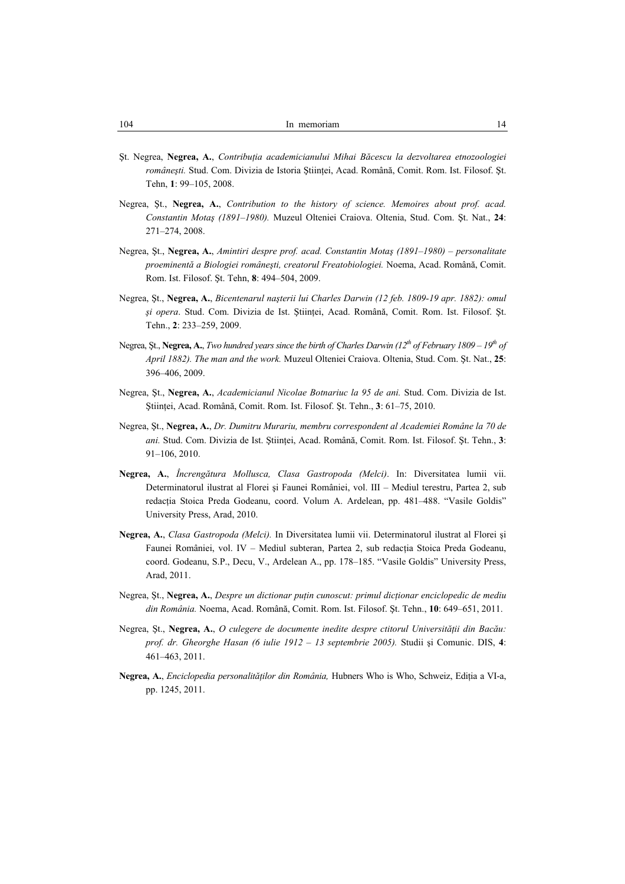- Şt. Negrea, **Negrea, A.**, *Contribuţia academicianului Mihai Băcescu la dezvoltarea etnozoologiei româneşti.* Stud. Com. Divizia de Istoria Ştiinţei, Acad. Română, Comit. Rom. Ist. Filosof. Şt. Tehn, **1**: 99–105, 2008.
- Negrea, Şt., **Negrea, A.**, *Contribution to the history of science. Memoires about prof. acad. Constantin Motaş (1891–1980).* Muzeul Olteniei Craiova. Oltenia, Stud. Com. Şt. Nat., **24**: 271–274, 2008.
- Negrea, Şt., **Negrea, A.**, *Amintiri despre prof. acad. Constantin Motaş (1891–1980) personalitate proeminentă a Biologiei româneşti, creatorul Freatobiologiei.* Noema, Acad. Română, Comit. Rom. Ist. Filosof. Şt. Tehn, **8**: 494–504, 2009.
- Negrea, Şt., **Negrea, A.**, *Bicentenarul naşterii lui Charles Darwin (12 feb. 1809-19 apr. 1882): omul şi opera*. Stud. Com. Divizia de Ist. Ştiinţei, Acad. Română, Comit. Rom. Ist. Filosof. Şt. Tehn., **2**: 233–259, 2009.
- Negrea, Şt., **Negrea, A.**, *Two hundred years since the birth of Charles Darwin (12th of February 1809 19th of April 1882). The man and the work.* Muzeul Olteniei Craiova. Oltenia, Stud. Com. Şt. Nat., **25**: 396–406, 2009.
- Negrea, Şt., **Negrea, A.**, *Academicianul Nicolae Botnariuc la 95 de ani.* Stud. Com. Divizia de Ist. Ştiinţei, Acad. Română, Comit. Rom. Ist. Filosof. Şt. Tehn., **3**: 61–75, 2010.
- Negrea, Şt., **Negrea, A.**, *Dr. Dumitru Murariu, membru correspondent al Academiei Române la 70 de ani.* Stud. Com. Divizia de Ist. Ştiinţei, Acad. Română, Comit. Rom. Ist. Filosof. Şt. Tehn., **3**: 91–106, 2010.
- **Negrea, A.**, *Încrengătura Mollusca, Clasa Gastropoda (Melci)*. In: Diversitatea lumii vii. Determinatorul ilustrat al Florei şi Faunei României, vol. III – Mediul terestru, Partea 2, sub redactia Stoica Preda Godeanu, coord. Volum A. Ardelean, pp. 481–488. "Vasile Goldis" University Press, Arad, 2010.
- **Negrea, A.**, *Clasa Gastropoda (Melci).* In Diversitatea lumii vii. Determinatorul ilustrat al Florei şi Faunei României, vol. IV – Mediul subteran, Partea 2, sub redactia Stoica Preda Godeanu, coord. Godeanu, S.P., Decu, V., Ardelean A., pp. 178–185. "Vasile Goldis" University Press, Arad, 2011.
- Negrea, St., **Negrea, A.**, *Despre un dictionar putin cunoscut: primul dictionar enciclopedic de mediu din România.* Noema, Acad. Română, Comit. Rom. Ist. Filosof. Şt. Tehn., **10**: 649–651, 2011.
- Negrea, Şt., **Negrea, A.**, *O culegere de documente inedite despre ctitorul Universităţii din Bacău: prof. dr. Gheorghe Hasan (6 iulie 1912 – 13 septembrie 2005).* Studii şi Comunic. DIS, **4**: 461–463, 2011.
- **Negrea, A.**, *Enciclopedia personalităţilor din România,* Hubners Who is Who, Schweiz, Ediţia a VI-a, pp. 1245, 2011.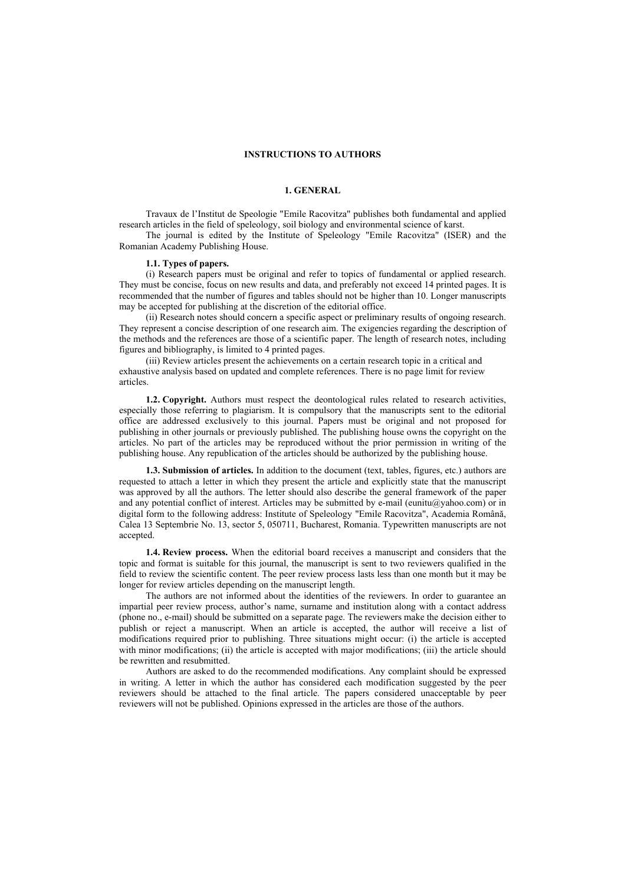## **INSTRUCTIONS TO AUTHORS**

#### **1. GENERAL**

Travaux de l'Institut de Speologie "Emile Racovitza" publishes both fundamental and applied research articles in the field of speleology, soil biology and environmental science of karst.

The journal is edited by the Institute of Speleology "Emile Racovitza" (ISER) and the Romanian Academy Publishing House.

#### **1.1. Types of papers.**

(i) Research papers must be original and refer to topics of fundamental or applied research. They must be concise, focus on new results and data, and preferably not exceed 14 printed pages. It is recommended that the number of figures and tables should not be higher than 10. Longer manuscripts may be accepted for publishing at the discretion of the editorial office.

(ii) Research notes should concern a specific aspect or preliminary results of ongoing research. They represent a concise description of one research aim. The exigencies regarding the description of the methods and the references are those of a scientific paper. The length of research notes, including figures and bibliography, is limited to 4 printed pages.

(iii) Review articles present the achievements on a certain research topic in a critical and exhaustive analysis based on updated and complete references. There is no page limit for review articles.

**1.2. Copyright.** Authors must respect the deontological rules related to research activities, especially those referring to plagiarism. It is compulsory that the manuscripts sent to the editorial office are addressed exclusively to this journal. Papers must be original and not proposed for publishing in other journals or previously published. The publishing house owns the copyright on the articles. No part of the articles may be reproduced without the prior permission in writing of the publishing house. Any republication of the articles should be authorized by the publishing house.

**1.3. Submission of articles.** In addition to the document (text, tables, figures, etc.) authors are requested to attach a letter in which they present the article and explicitly state that the manuscript was approved by all the authors. The letter should also describe the general framework of the paper and any potential conflict of interest. Articles may be submitted by e-mail (eunitu@yahoo.com) or in digital form to the following address: Institute of Speleology "Emile Racovitza", Academia Română, Calea 13 Septembrie No. 13, sector 5, 050711, Bucharest, Romania. Typewritten manuscripts are not accepted.

**1.4. Review process.** When the editorial board receives a manuscript and considers that the topic and format is suitable for this journal, the manuscript is sent to two reviewers qualified in the field to review the scientific content. The peer review process lasts less than one month but it may be longer for review articles depending on the manuscript length.

The authors are not informed about the identities of the reviewers. In order to guarantee an impartial peer review process, author's name, surname and institution along with a contact address (phone no., e-mail) should be submitted on a separate page. The reviewers make the decision either to publish or reject a manuscript. When an article is accepted, the author will receive a list of modifications required prior to publishing. Three situations might occur: (i) the article is accepted with minor modifications; (ii) the article is accepted with major modifications; (iii) the article should be rewritten and resubmitted.

Authors are asked to do the recommended modifications. Any complaint should be expressed in writing. A letter in which the author has considered each modification suggested by the peer reviewers should be attached to the final article. The papers considered unacceptable by peer reviewers will not be published. Opinions expressed in the articles are those of the authors.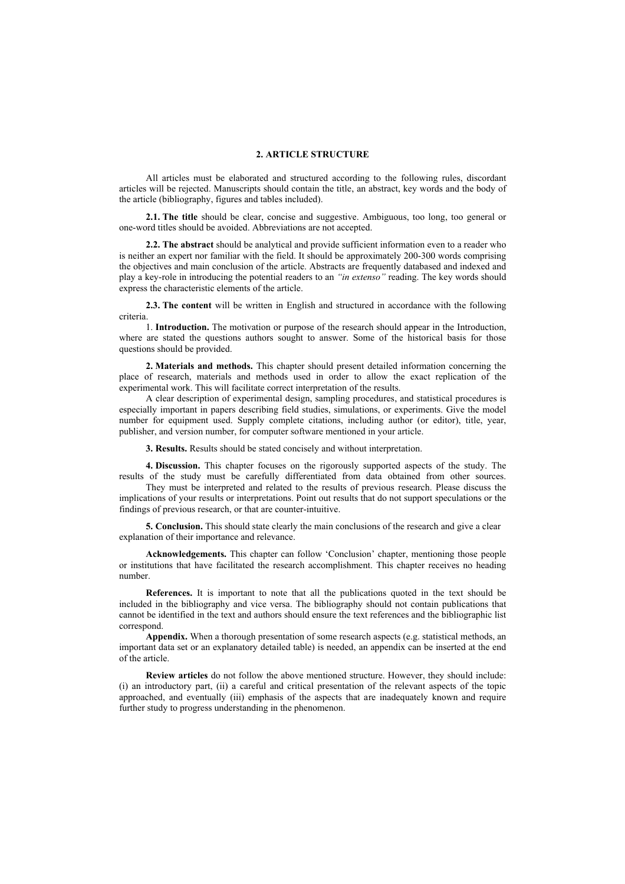## **2. ARTICLE STRUCTURE**

All articles must be elaborated and structured according to the following rules, discordant articles will be rejected. Manuscripts should contain the title, an abstract, key words and the body of the article (bibliography, figures and tables included).

**2.1. The title** should be clear, concise and suggestive. Ambiguous, too long, too general or one-word titles should be avoided. Abbreviations are not accepted.

**2.2. The abstract** should be analytical and provide sufficient information even to a reader who is neither an expert nor familiar with the field. It should be approximately 200-300 words comprising the objectives and main conclusion of the article. Abstracts are frequently databased and indexed and play a key-role in introducing the potential readers to an *"in extenso"* reading. The key words should express the characteristic elements of the article.

**2.3. The content** will be written in English and structured in accordance with the following criteria.

1. **Introduction.** The motivation or purpose of the research should appear in the Introduction, where are stated the questions authors sought to answer. Some of the historical basis for those questions should be provided.

**2. Materials and methods.** This chapter should present detailed information concerning the place of research, materials and methods used in order to allow the exact replication of the experimental work. This will facilitate correct interpretation of the results.

A clear description of experimental design, sampling procedures, and statistical procedures is especially important in papers describing field studies, simulations, or experiments. Give the model number for equipment used. Supply complete citations, including author (or editor), title, year, publisher, and version number, for computer software mentioned in your article.

**3. Results.** Results should be stated concisely and without interpretation.

**4. Discussion.** This chapter focuses on the rigorously supported aspects of the study. The results of the study must be carefully differentiated from data obtained from other sources.

They must be interpreted and related to the results of previous research. Please discuss the implications of your results or interpretations. Point out results that do not support speculations or the findings of previous research, or that are counter-intuitive.

**5. Conclusion.** This should state clearly the main conclusions of the research and give a clear explanation of their importance and relevance.

**Acknowledgements.** This chapter can follow 'Conclusion' chapter, mentioning those people or institutions that have facilitated the research accomplishment. This chapter receives no heading number.

**References.** It is important to note that all the publications quoted in the text should be included in the bibliography and vice versa. The bibliography should not contain publications that cannot be identified in the text and authors should ensure the text references and the bibliographic list correspond.

**Appendix.** When a thorough presentation of some research aspects (e.g. statistical methods, an important data set or an explanatory detailed table) is needed, an appendix can be inserted at the end of the article.

**Review articles** do not follow the above mentioned structure. However, they should include: (i) an introductory part, (ii) a careful and critical presentation of the relevant aspects of the topic approached, and eventually (iii) emphasis of the aspects that are inadequately known and require further study to progress understanding in the phenomenon.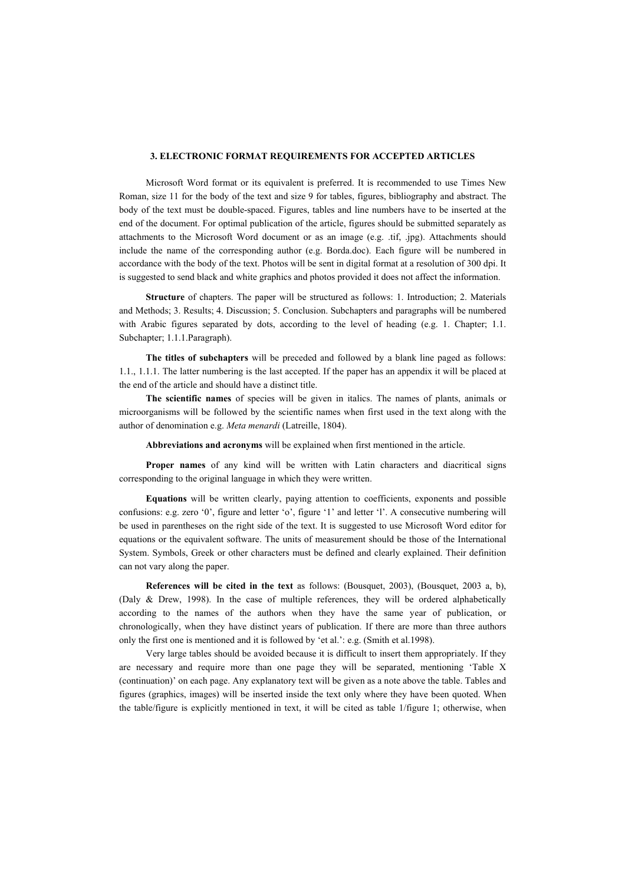## **3. ELECTRONIC FORMAT REQUIREMENTS FOR ACCEPTED ARTICLES**

Microsoft Word format or its equivalent is preferred. It is recommended to use Times New Roman, size 11 for the body of the text and size 9 for tables, figures, bibliography and abstract. The body of the text must be double-spaced. Figures, tables and line numbers have to be inserted at the end of the document. For optimal publication of the article, figures should be submitted separately as attachments to the Microsoft Word document or as an image (e.g. .tif, .jpg). Attachments should include the name of the corresponding author (e.g. Borda.doc). Each figure will be numbered in accordance with the body of the text. Photos will be sent in digital format at a resolution of 300 dpi. It is suggested to send black and white graphics and photos provided it does not affect the information.

**Structure** of chapters. The paper will be structured as follows: 1. Introduction; 2. Materials and Methods; 3. Results; 4. Discussion; 5. Conclusion. Subchapters and paragraphs will be numbered with Arabic figures separated by dots, according to the level of heading (e.g. 1. Chapter; 1.1. Subchapter; 1.1.1.Paragraph).

**The titles of subchapters** will be preceded and followed by a blank line paged as follows: 1.1., 1.1.1. The latter numbering is the last accepted. If the paper has an appendix it will be placed at the end of the article and should have a distinct title.

**The scientific names** of species will be given in italics. The names of plants, animals or microorganisms will be followed by the scientific names when first used in the text along with the author of denomination e.g. *Meta menardi* (Latreille, 1804).

**Abbreviations and acronyms** will be explained when first mentioned in the article.

**Proper names** of any kind will be written with Latin characters and diacritical signs corresponding to the original language in which they were written.

**Equations** will be written clearly, paying attention to coefficients, exponents and possible confusions: e.g. zero '0', figure and letter 'o', figure '1' and letter 'l'. A consecutive numbering will be used in parentheses on the right side of the text. It is suggested to use Microsoft Word editor for equations or the equivalent software. The units of measurement should be those of the International System. Symbols, Greek or other characters must be defined and clearly explained. Their definition can not vary along the paper.

**References will be cited in the text** as follows: (Bousquet, 2003), (Bousquet, 2003 a, b), (Daly & Drew, 1998). In the case of multiple references, they will be ordered alphabetically according to the names of the authors when they have the same year of publication, or chronologically, when they have distinct years of publication. If there are more than three authors only the first one is mentioned and it is followed by 'et al.': e.g. (Smith et al.1998).

Very large tables should be avoided because it is difficult to insert them appropriately. If they are necessary and require more than one page they will be separated, mentioning 'Table X (continuation)' on each page. Any explanatory text will be given as a note above the table. Tables and figures (graphics, images) will be inserted inside the text only where they have been quoted. When the table/figure is explicitly mentioned in text, it will be cited as table 1/figure 1; otherwise, when